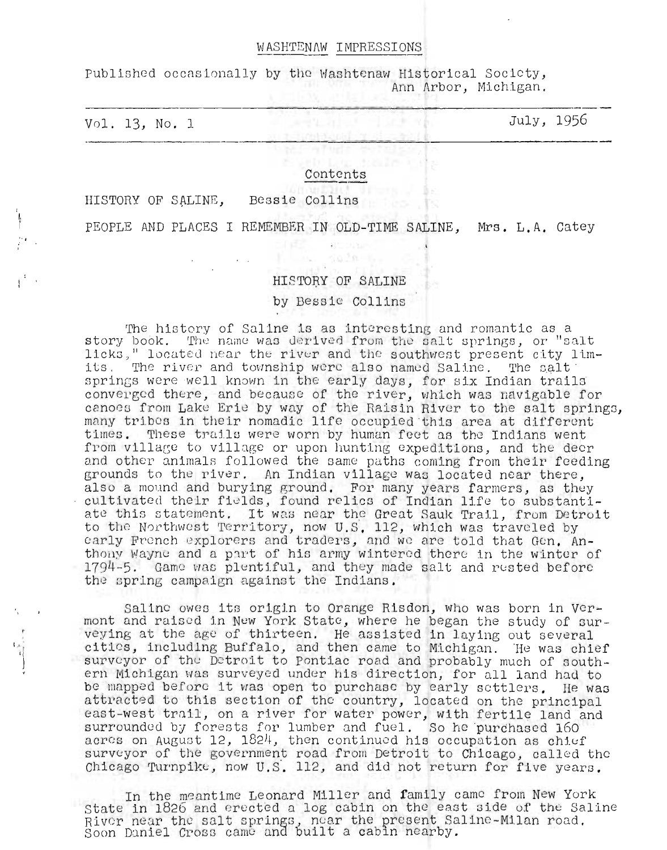## WASHTENAW IMPRESSIONS

Published occasionally by the Washtenaw Historical Society, Ann Arbor, Michigan.

Vol. 13, No.1 July, 1956

#### Contents

HISTORY OF SALINE, Bessie Collins

PEOPLE AND PLACES I REMEMBER IN OLD-TIME SALINE, Mrs. **L.A.** Catey

### HISTORY OF SALINE

#### by Bessie Collins

The history of Saline is as interesting and romantic as a The nistory of Saline is as interesting and romantic as a<br>story book. The name was derived from the salt springs, or "salt licks," located near the river and the southwest present city limits. The river and township were also named Saline. The salt springs were well known in the early days, for six Indian trails converged there, and because of the river, which was navigable for canoes from Lake Erie by way of the Raisin River to the salt springs, many tribes in their nomadic life occupied this area at different times. These trails were worn by human feet as the Indians went from village to village or upon hunting expeditions, and the deer and other animals followed the same paths coming from their feeding grounds to the river. An Indian village was located near there, also a mound and burying ground. For many years farmers, as they cultivated their fields, found relics of Indian life to substantiate this statement. It was near the Great Sauk Trail, from Detroit to the Northwest Territory, now U.S. 112, which was traveled by early French explorers and traders, and we are told that Gen. Anthony Wayne and a part of his army wintered there in the winter of 1794-5. Game was plentiful, and they made salt and rested before the spring campaign against the Indians.

Saline owes its origin to Orange Risdon, who was born in Vermont and raised in New York State, where he began the study of surveying at the age of thirteen. He assisted in laying out several cities, including Buffalo, and then came to Michigan. He was chief surveyor of the Detroit to Pontiac road and probably much of southern Michigan was surveyed under his direction, for all land had to be mapped before it was open to purchase by early settlers. He was attracted to this section of the country, located on the principal east-west trail, on a river for water power, with fertile land and surrounded by forests for lumber and fuel. So he purchased 160 acres on August 12, 1824, then continued his occupation as chief surveyor of the government road from Detroit to Chicago, called the Chicago Turnpike, now U.S. 112, and did not return for five years.

In the meantime Leonard Miller and family came from New York State in 1826 and erected a log cabin on the east side of the Saline River near the salt springs, near the present Saline-Milan road.<br>Soon Daniel Cross came and built a cabin nearby.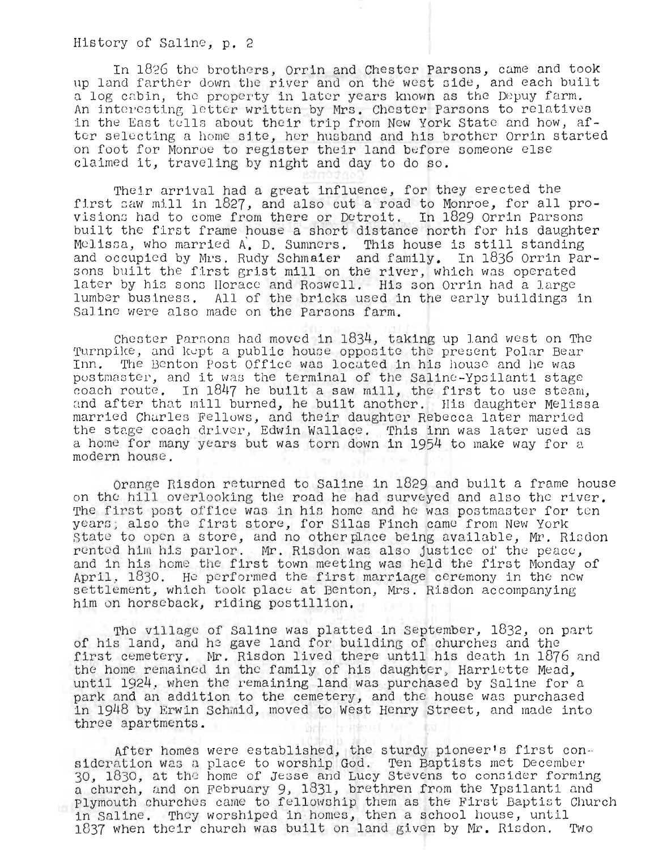In 1826 the brothers, Orrin and Chester Parsons, came and took up land farther down the river and on the west side, and each built a log cabin, the property in later years known as the Depuy farm. An interesting letter written by Mrs. Chester Parsons to relatives in the East tells about their trip from New York State and how, after selecting a home site, her husband and his brother Orrin started on foot for Monroe to register their land before someone else claimed it, traveling by night and day to do so.

Their arrival had a great influence, for they erected the first saw mill in 1827, and also cut a road to Monroe, for all provisiono had to come from there or Detroit. In 1829 Orrin Parsons built the first frame house a short distance north for his daughter Melissa, who married A. D. Sumners. This house is still standing and occupied by Mrs. Rudy Schmaier and family. In 1836 Orrin Parand occupicd by mrs. Rudy Schmaier and family. In 1050 Orrin Pa<br>sons built the first grist mill on the river, which was operated sons built the larst grast mill on the river, which was operated<br>later by his sons Horace and Roswell. His son Orrin had a large lumber business. All of the bricks used in the early buildings in Saline were also made on the Parsons farm.

Chester Parsons had moved in  $1834$ , taking up land west on The Turnpike, and kept a public house opposite the present Polar Bear Inn. The Benton Post Office was located in his house and he was postmaster, and it was the terminal of the Saline-Ypsilanti stage coach route. In 1847 he built a saw mill, the first to use steam, and after that mill burned, he built another. His daughter Melissa married Charles Fellows, and their daughter Rebecca later married the stage coach driver, Edwin Wallace. This inn was later used as a home for many years but was torn down in 1954 to make way for a modern house.

Orange Risdon returned to Saline in 1829 and built a frame house on the hill overlooking the road he had surveyed and also the river. The first post office was in his home and he was postmaster for ten years; also the first store, for Silas Finch came from New York State to open a store, and no other place being available, Mr. Risdon rented him his parlor. Mr. Risdon was also justice of the peace, and in his home the first town meeting was held the first Monday of April, 1830. He performed the first marriage ceremony in the new settlement, which took place at Benton, Mrs. Risdon accompanying him on horseback, riding postillion.

The village of Saline was platted in September,  $1832$ , on part of his land, and he gave land for building of churches and the first cemetery. Mr. Risdon lived there until his death in 1876 and the home remained in the family of his daughter, Harriette Mead, until 1924, when the remaining land was purchased by Saline for a park and an addition to the cemetery, and the house was purchased in 1948 by Erwin Schmid, moved to West Henry Street, and made into three apartments.

After homes were established, the sturdy pioneer's first con-<br>sideration was a place to worship God. Ten Baptists met December sideration was a place to worship dod. Ten Baptists met becember<br>30, 1830, at the home of Jesse and Lucy Stevens to consider forming a church, and on February 9, 1831, brethren from the Ypsilanti and Plymouth churches came to fellowship them as the First Baptist Church in Saline. They worshiped in homes, then a school house, until 1837 when their church was built on l and given by **Mr.** Risdon. TWo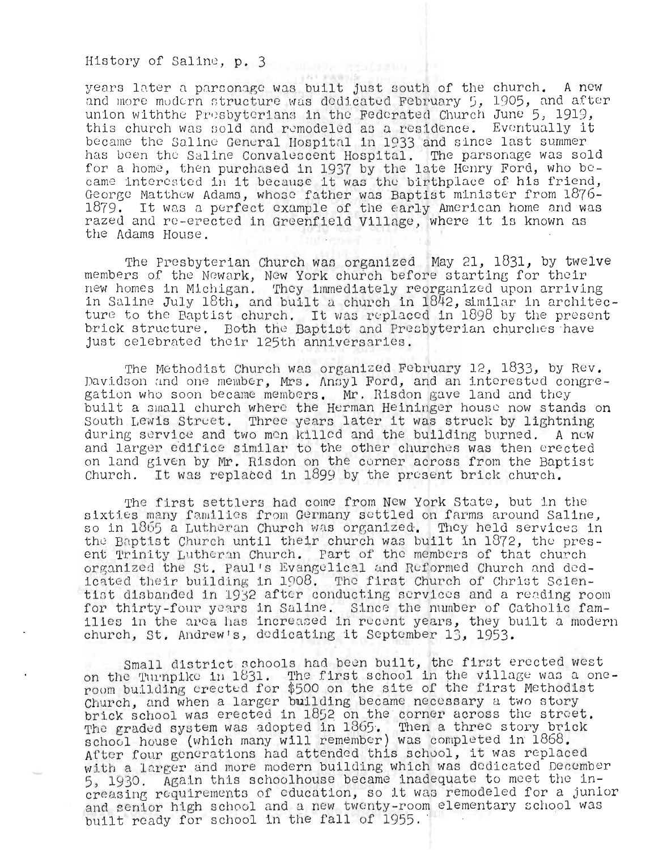years later a parsonage was built just south of the church. A new and more modern structure was dedicated February 5, 1905, and after union withthe Presbyterians in the Federated Church June 5, 1919, this church was sold and remodeled as a residence. Eventually it be came *the* Saline Genural Hospital in 1933 and since last summer has been the Saline Convalescent Hospital. The parsonage was sold for a home, then purchased in 1937 by the late Henry Ford, who be-<br>came interested in it because it was the birthplace of his friend, George Matthew Adams, whose father was Baptist minister from 1876deorge mattnew Adams, whose father was Baptist minister from 1876-<br>1879. It was a perfect example of the early American home and was 1879. It was a perfect example of the early American home and wa<br>razed and re-erected in Greenfield Village, where it is known as the Adams House.

The Presbyterian Church was organized May 21,  $1831$ , by twelve members of the Newark, New York church before starting for their nemeers of the Womann, New form charch before starting for their iew nomes in michigan. They immediately reorganized upon arriving<br>In Saline July 18th, and built a church in 1842, similar in architecture to the Baptist church. It was replaced in 1898 by the present brick structure. Both the Baptist and Presbyterian churches have just celebrated their 125th anniversaries.

The Methodist Church was organized February 12, 1833, by Rev. Davidson and one member, Mrs. Ansyl Ford, and an interested congre-<br>gation who soon became members. Mr. Risdon gave land and they built a small church where the Herman Heininger house now stands on South Lewis Street. Three years later it was struck by lightning during service and two mon killed and the building burned. A now and larger edifice similar to the other churches was then crected on land given by Mr. Risdon on the corner across from the Baptist Church. It was replaced in 1899 by the present brick church.

The first settlers had come from New York State, but in the sixties many families from Germany settled on farms around Saline,<br>so in 1865 a Lutheran Church was organized. They held services in the Baptist Church until their church was built in 1872, the present Trinity Lutheran Church. Part of the members of that church organized the St. Paul's Evangelical and Reformed Church and dedicated their building in 1908. The first Church of Christ Scientist disbanded in 1932 after conducting services and a reading room for thirty-four years in Saline. Since the number of Catholic families in the area has increased in recent years, they built a modern church, st. Andrew's, dedicating it September 13, 1953.

Small district schools had been built, the first erected west on the Turnpike in 1831. The first school in the village was a oneroom building erected for \$500 on the site of the first Methodist Church, and when a larger building became necessary a two story brick school was erected in 1852 on the corner across the street. prick school was erected in 1952 on the corner across the street.<br>The graded system was adopted in 1865. Then a three story brick rhe graded system was adopted in 1889. Then a three story brick<br>school house (which many will remember) was completed in 1868.<br>After four generations had attended this school, it was replaced After four generations had attended this school, it was replaced<br>with a larger and more modern building which was dedicated December 5, 1930. Again this schoolhouse became inadequate to meet the increasing requirements of education, so it was remodeled for a junior and senior high school and a new twenty-room elementary school was built ready for school in the fall of 1955.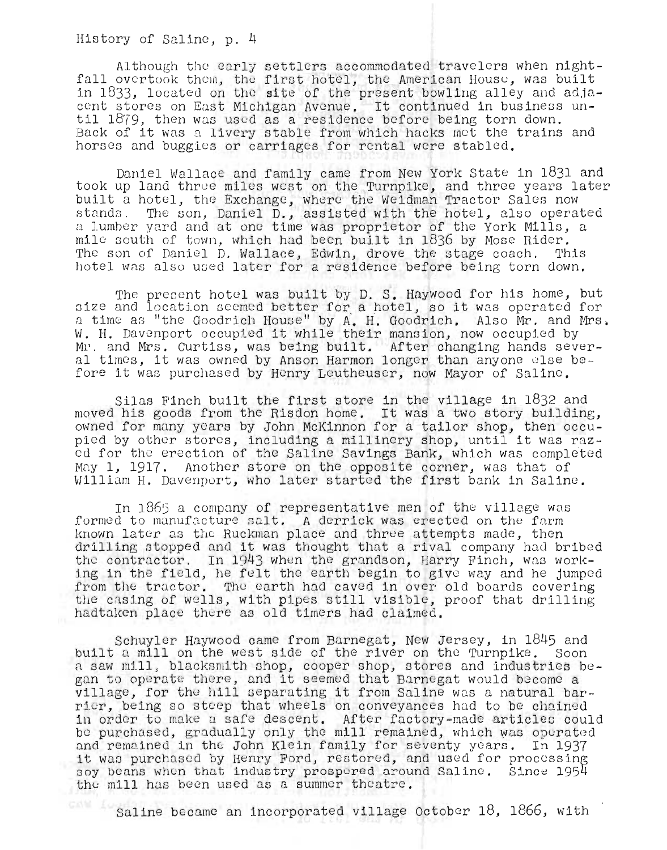Although the early settlers accommodated travelers when nightfall overtook them, the first hotel, the American House, was built in 1833, located on the site of the present bowling alley and adjan 1833, located on the site of the present bowling alley and adja.<br>ent stores on East Michigan Avenue. It continued in business unent stores on East Michigan Avenue. It continued in business<br>:il 1879, then was used as a residence before being torn down. iil 1879, then was used as a residence before being torn down.<br>Back of it was a livery stable from which hacks met the trains and Back of it was a livery stable from which hacks met the trains and<br>horses and buggies or carriages for rental were stabled.

Daniel Wallace and family came from New York State in 1831 and took up land three miles west on the Turnpike, and three years later built a hotel, the Exchange, where the Weidman Tractor Sales now stands. The son, Daniel D., assisted with the hotel, also operated a lumber yard and at one time was proprietor of the York Mills, a mile south of town, which had been built in  $1836$  by Mose Rider. The son of Daniel D. Wallace, Edwin, drove the stage coach. This hotel was also used later for a residence before being torn down.

The present hotel was built by D. S. Haywood for his home, but<br>ize and location seemed better for a hotel, so it was operated for ize and focation seemed better for a hotel, so it was operated for.<br>I time as "the Goodrich House" by A. H. Goodrich. Also Mr. and Mrs. l time as "the Goodrich House" by A. H. Goodrich. Also Mr. and M<br>I. H. Davenport occupied it while their mansion, now occupied by W. H. Davenport occupied it while their mansion, now occupied by Mr. and Mrs. Curtiss, was being built. After changing hands several times, it was owned by Anson Harmon longer than anyone else before it was purchased by Henry Leutheuser, now Mayor of Saline.

Silas Finch built the first store in the village in 1832 and Silas Finch built the first store in the village in 1832 and<br>10 oved his goods from the Risdon home. It was a two story building,<br>20 wned for many years by John McKinnon for a tailor shop, then occuwned for many years by John McKinnon for a tailor shop, then occu-<br>ied by other stores, including a millinery shop, until it was razpied by other stores, including a millinery shop, until it was raz-<br>ed for the erection of the Saline Savings Bank, which was completed May 1, 1917. Another store on the opposite corner, was that of William H. Davenport, who later started the first bank in Saline.

In  $1865$  a company of representative men of the village was formed to manufacture salt. A derrick was erected on the farm known later as the Ruckman place and three attempts made, then drilling stopped and it was thought that a rival company had bribed *<sup>t</sup> he* contra ctor . In 1943 when the nds n, Harry Finell, was workhe contractor. In 1943 when the grandson, Harry Finch, was work-<br>ng in the field, he felt the earth begin to give way and he jumped from the tractor. The earth had caved in over old boards covering the casing of wells, with pipes still visible, proof that drilling hadtaken place there as old timers had claimed.

Schuyler Haywood came from Barnegat, New Jersey, in 1845 and built a mill on the west side of the river on the Turnpike. Soon nuilt a mill on the west side of the river on the Turnpike. Soon<br>u saw mill, blacksmith shop, cooper shop, stores and industries be-<br>an to operate there, and it seemed that Barnegat would become a ;an to operate there, and it seemed that Barnegat would become a<br>illage, for the hill separating it from Saline was a natural barvillage, for the hill separating it from Saline was a natural bar-<br>rier, being so steep that wheels on conveyances had to be chained in order to make a safe descent. After factory-made articles could be purchased, gradually only the mill remained, which was operated and remained in the John Klein family for seventy years. In 1937 it was purchased by Henry Ford, restored, and used for processing t was purchased by Henry Ford, restored, and used for processing<br>.ov beans when that industry prospered around Saline. Since 1954 oy beans when that industry prospered aroun<br>he mill has been used as a summer theatre.

Saline became an incorporated village October 18, 1866, with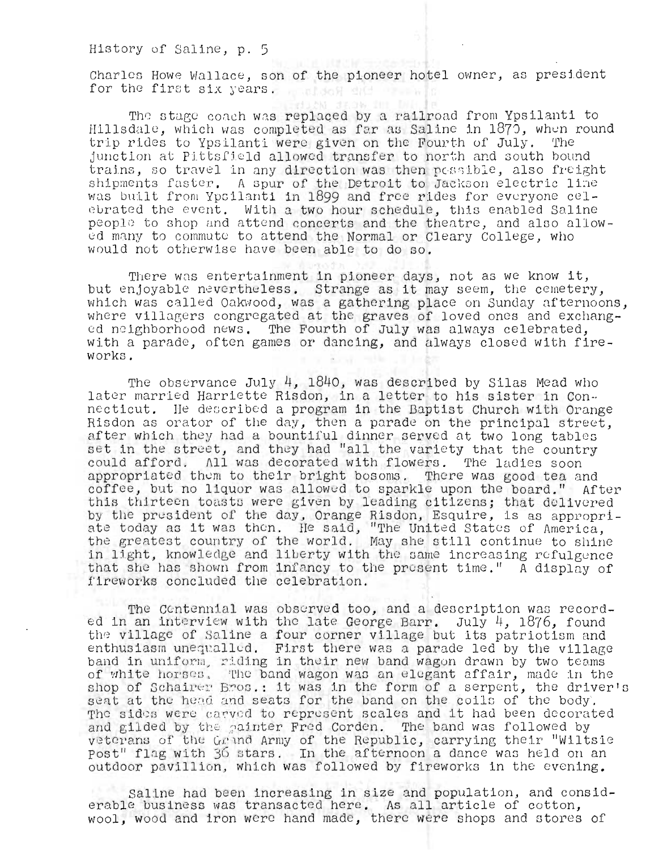Charles Howe Wallace, son of the pioneer hotel owner, as president for the first six years. The soft side

The stage coach was replaced by a railroad from Ypsilanti to Hillsdale, which was completed as far as Saline in 1870, when round trip rides to Ypsilanti were given on the Fourth of July. The junction at Pittsfield allowed transfer to north and south bound trains, so travel in any direction was then *pessible*, also freight shipments faster. A spur of the Detroit to Jackson electric line was built from Ypoilanti in 1899 and free rides for everyone celebrated the event. With a two hour schedule, this enabled Saline people to shop and attend concerts and the theatre, and also allowed many to commute to attend the Normal or Cleary College, who would not otherwise have been able to do so.

There was entertainment in pioneer days, not as we know it, but enjoyable nevertheless. Strange as it may seem, the cemetery, which was called Oakwood, was a gathering place on Sunday afternoons, where villagers congregated at the graves of loved ones and exchanged neighborhood news. The Fourth of July was always celebrated, with a parade, often games or dancing, and always closed with fireworks.

The observance July 4, 1840, was described by Silas Mead who later married Harriette Risdon, in a letter to his sister in Connc cticut. He dcocrlbed a program in the Baptist Church with Orange necticut. He described a program in the Baptist church with Orange.<br>Risdon as orator of the day, then a parade on the principal street, after which they had a bountiful dinner served at two long tables alter which they had a bountliul dinner served at two long tables<br>set in the street, and they had "all the variety that the country could afford. All was decorated with flowers. The ladies soon appropriated them to their bright bosoms. There was good tea and coffee, but no liquor was allowed to sparkle upon the board." After this thirteen toasts were given by leading citizens; that delivered by the president of the day, Orange Risdon, Esquire, is as appropriby the president of the day, Orange Risdon, Esquire, is as appropr:<br>ate today as it was then. He said, "The United States of America, ate today as it was then. He said, "The United States of America,<br>the greatest country of the world. May she still continue to shine in light, knowledge and liberty with the same increasing refulgence that she has shown from infancy to the present time." A display of fireworks concluded the celebration.

The Centennial was observed too, and a description was recorded in an interview with the late George Barr. July 4, 1876, found the village of Saline a four corner village but its patriotism and enthus iasm unequalled. First there was a parade led by the village band in uniform, riding in their new band wagon drawn by two teams of white horses. The band wagon was an elegant affair, made in the shop of Schairer Bros.: it was in the form of a serpent, the driver's seat at the head and seats for the band on the coils of the body. The sides were carved to represent scales and it had been decorated and gilded by the painter Fred Corden. The band was followed by veterans of the Grand Army of the Republic, carrying their "Wiltsie post" flag with 36 stars. In the afternoon a dance was held on an outdoor pavillion, which was followed by fireworks in the evening.

Saline had been increasing in size and population, and considerable business was transacted here. As all article of cotton, wool, wood and iron were hand made, there were shops and stores of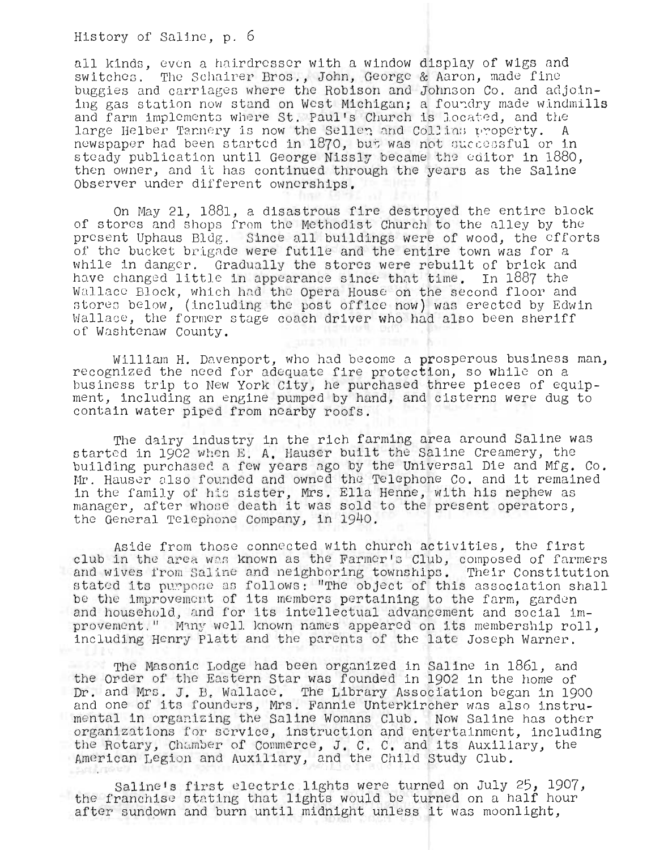all kinds, even a hairdresser with a window display of wigs and switches. The Schairer Bros., John, George & Aaron, made fine<br>buggies and carriages where the Robison and Johnson Co. and adjoining gas station now stand on West Michigan; a foundry made windmills and farm implements where St. Paul's Church is located, and the large Helber Tannery is now the Sellen and Collins property. A newspaper had been started in 1870, but was not successful or in steady publication until George Nissly became the editor in  $1880$ . then owner, and it has continued through the years as the Saline Observer under different ownerships.

On May 21, 1881, a disastrous fire destroyed the entire block of stores and Shops from the Methodist Church to the alley by the present Uphaus Bldg. Since all buildings were of wood, the efforts of the bucket brigAde were futile and the entire town was *fot* a while in danger. Gradually the stores were rebuilt of brick and have changed little in appearance since thnt time. In 1887 the Wallace Block, which had the Opera House on the second floor and stores below, (including the post office now) was erected by Edwin Wallace, the former stage coach driver who had also been sheriff of Washtenaw County.

William H. Davenport, who had become a prosperous business man, recognized the need for adequate fire protection, so while on a business trip to New York City, he purchased three pieces of equipment, including an engine pumped by hand, and cisterna were dug to contain water piped from nearby roofs.

The dairy industry in the rich farming area around Saline was started in 1902 when E. A. Hauser built the Saline Creamery, the building purchased a few years ago by the Universal Die and Mfg. Co. Mr. Hauser also founded and owned the Telephone Co. and it remained in the family of his sister, Mrs. Ella Henne, with his nephew as manager, after whose death it was sold to the present operators, the General Telephone Company, in 1940.

Aside from those connected with church activities, the first club in the area wes known as the Farmer's Club, composed of farmers and wives from Saline and neighboring townships. Their Constitution stated its purpose as follows: "The object of this association shall be the improvement of its members pertaining to the farm, garden and hous ehold, and for its intellectual advancement and social improvement." Many well known names appeared on its membership roll, including Henry Platt and the parents of the late Joseph Warner.

The Masonic Lodge had been organized in Saline in 1861, and the Order of the Eastern Star was founded in 1902 in the home of Dr. and Mrs. J. B. Wallace. The Library Association began in 1900 and one of its founders, Mrs. Fannie Unterkircher was also instrumental in organizing the Saline Wornans Club. NoW Saline has other organizations for service, instruction and entertainment, including the Rotary, Chamber of Commerce, J. C. C. and its Auxiliary, the American Legion and Auxiliary, and the Child Study Club.

Saline's first electric lights were turned on July 25, 1907, the franchise stating that lights would be turned on a half hour after sundown and burn until midnight unless it was moonlight,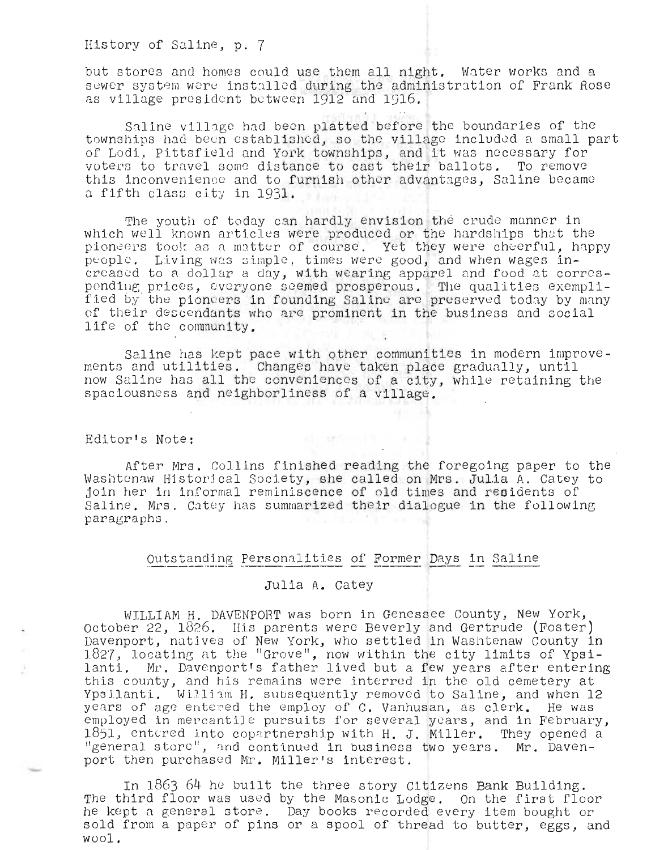but stores and homes could use them all night. Water works and a sewer system were installed during the administration of Frank Rose as village president between 1912 and 1916.

Saline village had been platted before the boundaries of the townships had been established, so the village included a small part townships had been established, so the village included a small providence of the solution of the solution of of houl, rittsfield and fork cownships, and it was necessary for<br>voters to travel some distance to cast their ballots. To remove this inconvenience and to furnish other advantages, Saline became a fifth class city in 1931.

The youth of today can hardly envision the crude manner in which well known articles were produced or the hardships that the pioneers took as a matter of course. Yet they were cheerful, happy people. Living was simple, times were good, and when wages in-<br>creased to a dollar a day, with wearing apparel and food at correscreased to a dollar a day, with wearing apparel and food at corres-<br>ponding prices, everyone seemed prosperous. The qualities exemplified by the pioneers in founding Saline are preserved today by many of their descendants who are prominent in the business and social life of the community.

Saline has kept pace with other communities in modern improvements and utilities. Changes have taken place gradually, until now Saline has all the conveniences of a city, while retaining the spaciousness and ne ighborliness of a village.

#### Editor's Note:

After Mrs. Collins finished reading the foregoing paper to the Washtenaw Historical Society, she called on Mrs. Julia A. Catey to join her in informal reminiscence of old times and residents of Saline. Mrs. Catey has summarized their dialogue in the following paragraphs.

○ 32% 日報

# Outstanding Personalities of Former Days in Saline

## Julia A. Catey

WILLIAM H. DAVENPORT was born in Genessee County, New York, October 22, 1826. His parents were Beverly and Gertrude (Foster) Davenport, natives of New York, who settled in Washtenaw County in 1827, locating at the "Grove", now within the city limits of Ypsilanti. Mr. Davenport's father lived but a few years after entering this county, and his remains were interred in the old cemetery at Ypsilanti. William H. subsequently removed to Saline, and when 12 years of age entered the employ of C. Vanhusan, as clerk. He was employed in mercantile pursuits for several years, and in February, 1851, entered into copartnership with H. J. Miller. They opened a<br>"general store", and continued in business two years. Mr. Davenport then purchased Mr. Miller's interest.

In  $1863$  64 he built the three story Citizens Bank Building. The third floor was used by the Masonic Lodge. On the first floor he kept a general store. Day books recorded every item bought or sold from a paper of pins or a spool of thread to butter, eggs, and wool.